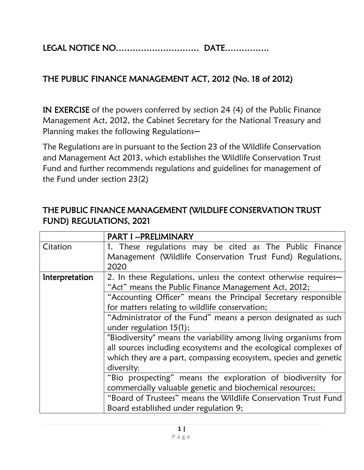LEGAL NOTICE NO………………………… DATE…………….

## THE PUBLIC FINANCE MANAGEMENT ACT, 2012 (No. 18 of 2012)

IN EXERCISE of the powers conferred by section 24 (4) of the Public Finance Management Act, 2012, the Cabinet Secretary for the National Treasury and Planning makes the following Regulations-

The Regulations are in pursuant to the Section 23 of the Wildlife Conservation and Management Act 2013, which establishes the Wildlife Conservation Trust Fund and further recommends regulations and guidelines for management of the Fund under section 23(2)

|                | PART I -- PRELIMINARY                                                                                                                                                                                                                                                                                                                                                                                                                                                                                                                                                |
|----------------|----------------------------------------------------------------------------------------------------------------------------------------------------------------------------------------------------------------------------------------------------------------------------------------------------------------------------------------------------------------------------------------------------------------------------------------------------------------------------------------------------------------------------------------------------------------------|
| Citation       | 1. These regulations may be cited as The Public Finance<br>Management (Wildlife Conservation Trust Fund) Regulations,<br>2020                                                                                                                                                                                                                                                                                                                                                                                                                                        |
| Interpretation | 2. In these Regulations, unless the context otherwise requires-<br>"Act" means the Public Finance Management Act, 2012;<br>"Accounting Officer" means the Principal Secretary responsible<br>for matters relating to wildlife conservation;<br>"Administrator of the Fund" means a person designated as such<br>under regulation $15(1)$ ;<br>"Biodiversity" means the variability among living organisms from<br>all sources including ecosystems and the ecological complexes of<br>which they are a part, compassing ecosystem, species and genetic<br>diversity; |
|                | "Bio prospecting" means the exploration of biodiversity for<br>commercially valuable genetic and biochemical resources;<br>"Board of Trustees" means the Wildlife Conservation Trust Fund<br>Board established under regulation 9;                                                                                                                                                                                                                                                                                                                                   |

## THE PUBLIC FINANCE MANAGEMENT (WILDLIFE CONSERVATION TRUST FUND) REGULATIONS, 2021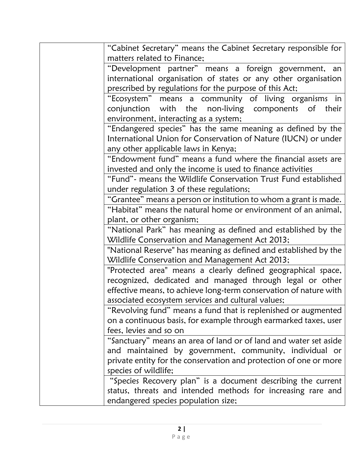| "Cabinet Secretary" means the Cabinet Secretary responsible for                                                 |
|-----------------------------------------------------------------------------------------------------------------|
| matters related to Finance;                                                                                     |
| "Development partner" means a foreign government, an                                                            |
| international organisation of states or any other organisation                                                  |
| prescribed by regulations for the purpose of this Act;                                                          |
| "Ecosystem" means a community of living organisms in                                                            |
| conjunction with the non-living components of<br>their                                                          |
| environment, interacting as a system;                                                                           |
| "Endangered species" has the same meaning as defined by the                                                     |
| International Union for Conservation of Nature (IUCN) or under                                                  |
| any other applicable laws in Kenya;                                                                             |
| "Endowment fund" means a fund where the financial assets are                                                    |
| invested and only the income is used to finance activities                                                      |
| "Fund" - means the Wildlife Conservation Trust Fund established                                                 |
| under regulation 3 of these regulations;                                                                        |
| "Grantee" means a person or institution to whom a grant is made.                                                |
| "Habitat" means the natural home or environment of an animal,                                                   |
| plant, or other organism;                                                                                       |
| "National Park" has meaning as defined and established by the<br>Wildlife Conservation and Management Act 2013; |
| "National Reserve" has meaning as defined and established by the                                                |
| Wildlife Conservation and Management Act 2013;                                                                  |
| "Protected area" means a clearly defined geographical space,                                                    |
| recognized, dedicated and managed through legal or other                                                        |
| effective means, to achieve long-term conservation of nature with                                               |
| associated ecosystem services and cultural values;                                                              |
| "Revolving fund" means a fund that is replenished or augmented                                                  |
| on a continuous basis, for example through earmarked taxes, user                                                |
| fees, levies and so on                                                                                          |
| "Sanctuary" means an area of land or of land and water set aside                                                |
| and maintained by government, community, individual or                                                          |
| private entity for the conservation and protection of one or more                                               |
| species of wildlife;                                                                                            |
| "Species Recovery plan" is a document describing the current                                                    |
| status, threats and intended methods for increasing rare and                                                    |
| endangered species population size;                                                                             |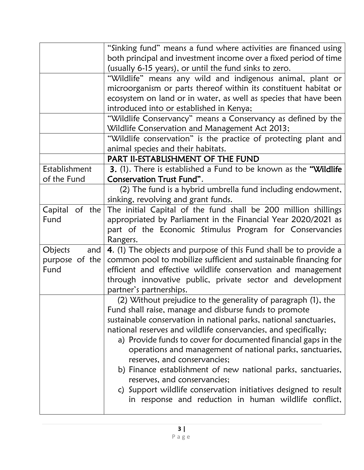|                | "Sinking fund" means a fund where activities are financed using<br>both principal and investment income over a fixed period of time |
|----------------|-------------------------------------------------------------------------------------------------------------------------------------|
|                | (usually 6-15 years), or until the fund sinks to zero.                                                                              |
|                | "Wildlife" means any wild and indigenous animal, plant or                                                                           |
|                | microorganism or parts thereof within its constituent habitat or                                                                    |
|                | ecosystem on land or in water, as well as species that have been                                                                    |
|                | introduced into or established in Kenya;                                                                                            |
|                | "Wildlife Conservancy" means a Conservancy as defined by the                                                                        |
|                | Wildlife Conservation and Management Act 2013;                                                                                      |
|                | "Wildlife conservation" is the practice of protecting plant and                                                                     |
|                | animal species and their habitats.                                                                                                  |
|                | PART II-ESTABLISHMENT OF THE FUND                                                                                                   |
| Establishment  | 3. (1). There is established a Fund to be known as the "Wildlife"                                                                   |
| of the Fund    | Conservation Trust Fund".                                                                                                           |
|                | (2) The fund is a hybrid umbrella fund including endowment,                                                                         |
|                | sinking, revolving and grant funds.                                                                                                 |
|                | Capital of the The initial Capital of the fund shall be 200 million shillings                                                       |
| Fund           | appropriated by Parliament in the Financial Year 2020/2021 as                                                                       |
|                | part of the Economic Stimulus Program for Conservancies                                                                             |
|                | Rangers.                                                                                                                            |
| Objects<br>and | 4. (1) The objects and purpose of this Fund shall be to provide a                                                                   |
| purpose of the | common pool to mobilize sufficient and sustainable financing for                                                                    |
| Fund           | efficient and effective wildlife conservation and management                                                                        |
|                | through innovative public, private sector and development                                                                           |
|                | partner's partnerships.                                                                                                             |
|                | (2) Without prejudice to the generality of paragraph (1), the                                                                       |
|                | Fund shall raise, manage and disburse funds to promote                                                                              |
|                | sustainable conservation in national parks, national sanctuaries,                                                                   |
|                | national reserves and wildlife conservancies, and specifically;                                                                     |
|                | a) Provide funds to cover for documented financial gaps in the                                                                      |
|                | operations and management of national parks, sanctuaries,                                                                           |
|                | reserves, and conservancies;                                                                                                        |
|                | b) Finance establishment of new national parks, sanctuaries,                                                                        |
|                | reserves, and conservancies;                                                                                                        |
|                | c) Support wildlife conservation initiatives designed to result                                                                     |
|                | in response and reduction in human wildlife conflict,                                                                               |
|                |                                                                                                                                     |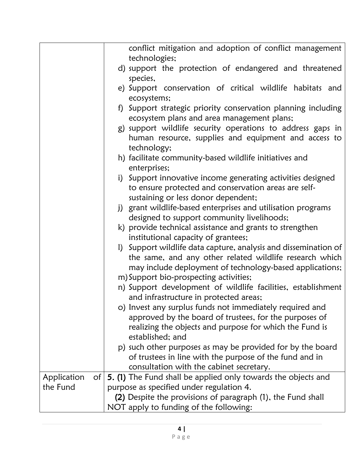|                                | conflict mitigation and adoption of conflict management                                                                                                    |
|--------------------------------|------------------------------------------------------------------------------------------------------------------------------------------------------------|
|                                | technologies;                                                                                                                                              |
|                                | d) support the protection of endangered and threatened<br>species,                                                                                         |
|                                | e) Support conservation of critical wildlife habitats and<br>ecosystems;                                                                                   |
|                                | f) Support strategic priority conservation planning including<br>ecosystem plans and area management plans;                                                |
|                                | g) support wildlife security operations to address gaps in<br>human resource, supplies and equipment and access to<br>technology;                          |
|                                | h) facilitate community-based wildlife initiatives and<br>enterprises;                                                                                     |
|                                | i) Support innovative income generating activities designed<br>to ensure protected and conservation areas are self-<br>sustaining or less donor dependent; |
|                                | j) grant wildlife-based enterprises and utilisation programs<br>designed to support community livelihoods;                                                 |
|                                | k) provide technical assistance and grants to strengthen                                                                                                   |
|                                | institutional capacity of grantees;<br>I) Support wildlife data capture, analysis and dissemination of                                                     |
|                                | the same, and any other related wildlife research which                                                                                                    |
|                                | may include deployment of technology-based applications;                                                                                                   |
|                                | m) Support bio-prospecting activities;                                                                                                                     |
|                                | n) Support development of wildlife facilities, establishment<br>and infrastructure in protected areas;                                                     |
|                                | o) Invest any surplus funds not immediately required and                                                                                                   |
|                                | approved by the board of trustees, for the purposes of                                                                                                     |
|                                | realizing the objects and purpose for which the Fund is<br>established; and                                                                                |
|                                | p) such other purposes as may be provided for by the board                                                                                                 |
|                                | of trustees in line with the purpose of the fund and in                                                                                                    |
|                                | consultation with the cabinet secretary.                                                                                                                   |
| Application<br>of <sub>l</sub> | <b>5. (1)</b> The Fund shall be applied only towards the objects and                                                                                       |
| the Fund                       | purpose as specified under regulation 4.                                                                                                                   |
|                                | (2) Despite the provisions of paragraph (1), the Fund shall                                                                                                |
|                                | NOT apply to funding of the following:                                                                                                                     |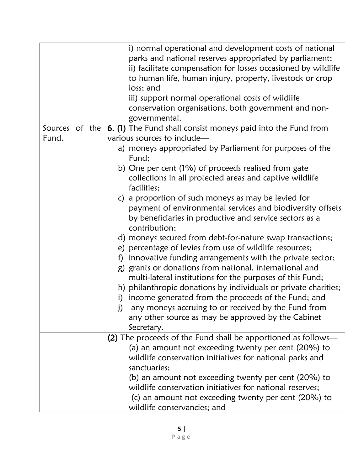| Fund;<br>b) One per cent (1%) of proceeds realised from gate<br>collections in all protected areas and captive wildlife<br>facilities;<br>c) a proportion of such moneys as may be levied for<br>payment of environmental services and biodiversity offsets<br>by beneficiaries in productive and service sectors as a<br>contribution;<br>d) moneys secured from debt-for-nature swap transactions;<br>e) percentage of levies from use of wildlife resources;<br>innovative funding arrangements with the private sector;<br>f)<br>g) grants or donations from national, international and<br>multi-lateral institutions for the purposes of this Fund;<br>h) philanthropic donations by individuals or private charities;<br>income generated from the proceeds of the Fund; and<br>any moneys accruing to or received by the Fund from<br>j)<br>any other source as may be approved by the Cabinet |
|--------------------------------------------------------------------------------------------------------------------------------------------------------------------------------------------------------------------------------------------------------------------------------------------------------------------------------------------------------------------------------------------------------------------------------------------------------------------------------------------------------------------------------------------------------------------------------------------------------------------------------------------------------------------------------------------------------------------------------------------------------------------------------------------------------------------------------------------------------------------------------------------------------|
| Secretary.                                                                                                                                                                                                                                                                                                                                                                                                                                                                                                                                                                                                                                                                                                                                                                                                                                                                                             |
| (2) The proceeds of the Fund shall be apportioned as follows—<br>(a) an amount not exceeding twenty per cent (20%) to                                                                                                                                                                                                                                                                                                                                                                                                                                                                                                                                                                                                                                                                                                                                                                                  |
| wildlife conservation initiatives for national parks and<br>sanctuaries;<br>(b) an amount not exceeding twenty per cent (20%) to<br>wildlife conservation initiatives for national reserves;<br>(c) an amount not exceeding twenty per cent (20%) to<br>wildlife conservancies; and                                                                                                                                                                                                                                                                                                                                                                                                                                                                                                                                                                                                                    |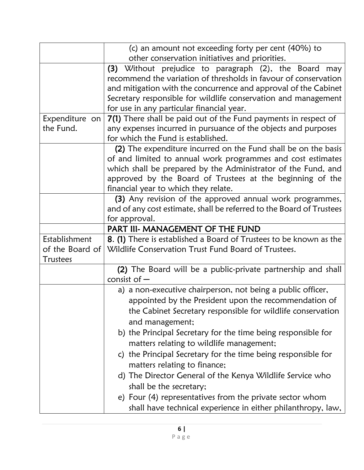|                 | (c) an amount not exceeding forty per cent (40%) to<br>other conservation initiatives and priorities. |
|-----------------|-------------------------------------------------------------------------------------------------------|
|                 | (3) Without prejudice to paragraph (2), the Board may                                                 |
|                 | recommend the variation of thresholds in favour of conservation                                       |
|                 | and mitigation with the concurrence and approval of the Cabinet                                       |
|                 | Secretary responsible for wildlife conservation and management                                        |
|                 | for use in any particular financial year.                                                             |
| Expenditure on  | 7(1) There shall be paid out of the Fund payments in respect of                                       |
| the Fund.       | any expenses incurred in pursuance of the objects and purposes                                        |
|                 | for which the Fund is established.                                                                    |
|                 | (2) The expenditure incurred on the Fund shall be on the basis                                        |
|                 | of and limited to annual work programmes and cost estimates                                           |
|                 | which shall be prepared by the Administrator of the Fund, and                                         |
|                 | approved by the Board of Trustees at the beginning of the                                             |
|                 | financial year to which they relate.                                                                  |
|                 | (3) Any revision of the approved annual work programmes,                                              |
|                 | and of any cost estimate, shall be referred to the Board of Trustees<br>for approval.                 |
|                 | PART III- MANAGEMENT OF THE FUND                                                                      |
| Establishment   | 8. (1) There is established a Board of Trustees to be known as the                                    |
| of the Board of | Wildlife Conservation Trust Fund Board of Trustees.                                                   |
| Trustees        |                                                                                                       |
|                 | (2) The Board will be a public-private partnership and shall                                          |
|                 | consist of $-$                                                                                        |
|                 | a) a non-executive chairperson, not being a public officer,                                           |
|                 | appointed by the President upon the recommendation of                                                 |
|                 | the Cabinet Secretary responsible for wildlife conservation                                           |
|                 | and management;                                                                                       |
|                 | b) the Principal Secretary for the time being responsible for                                         |
|                 | matters relating to wildlife management;                                                              |
|                 | c) the Principal Secretary for the time being responsible for                                         |
|                 | matters relating to finance;                                                                          |
|                 | d) The Director General of the Kenya Wildlife Service who                                             |
|                 | shall be the secretary;                                                                               |
|                 | e) Four (4) representatives from the private sector whom                                              |
|                 | shall have technical experience in either philanthropy, law,                                          |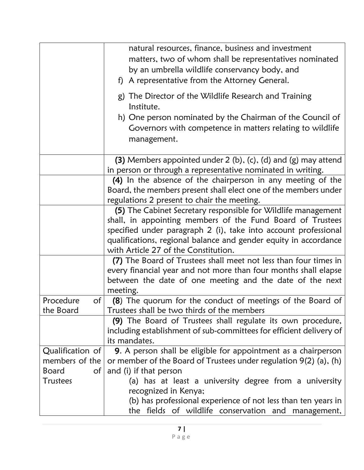|                               | natural resources, finance, business and investment<br>matters, two of whom shall be representatives nominated<br>by an umbrella wildlife conservancy body, and<br>f) A representative from the Attorney General. |
|-------------------------------|-------------------------------------------------------------------------------------------------------------------------------------------------------------------------------------------------------------------|
|                               | g) The Director of the Wildlife Research and Training<br>Institute.                                                                                                                                               |
|                               | h) One person nominated by the Chairman of the Council of<br>Governors with competence in matters relating to wildlife<br>management.                                                                             |
|                               | (3) Members appointed under $2$ (b), (c), (d) and (g) may attend<br>in person or through a representative nominated in writing.                                                                                   |
|                               | (4) In the absence of the chairperson in any meeting of the<br>Board, the members present shall elect one of the members under<br>regulations 2 present to chair the meeting.                                     |
|                               | (5) The Cabinet Secretary responsible for Wildlife management<br>shall, in appointing members of the Fund Board of Trustees                                                                                       |
|                               | specified under paragraph 2 (i), take into account professional<br>qualifications, regional balance and gender equity in accordance<br>with Article 27 of the Constitution.                                       |
|                               | (7) The Board of Trustees shall meet not less than four times in<br>every financial year and not more than four months shall elapse<br>between the date of one meeting and the date of the next<br>meeting.       |
| Procedure<br>of<br>the Board  | (8) The quorum for the conduct of meetings of the Board of<br>Trustees shall be two thirds of the members                                                                                                         |
|                               | (9) The Board of Trustees shall regulate its own procedure,<br>including establishment of sub-committees for efficient delivery of<br>its mandates.                                                               |
| Qualification of              | 9. A person shall be eligible for appointment as a chairperson                                                                                                                                                    |
| members of the                | or member of the Board of Trustees under regulation 9(2) (a), (h)                                                                                                                                                 |
| <b>Board</b><br>$\mathsf{of}$ | and (i) if that person                                                                                                                                                                                            |
| <b>Trustees</b>               | (a) has at least a university degree from a university                                                                                                                                                            |
|                               | recognized in Kenya;                                                                                                                                                                                              |
|                               | (b) has professional experience of not less than ten years in                                                                                                                                                     |
|                               | the fields of wildlife conservation and management,                                                                                                                                                               |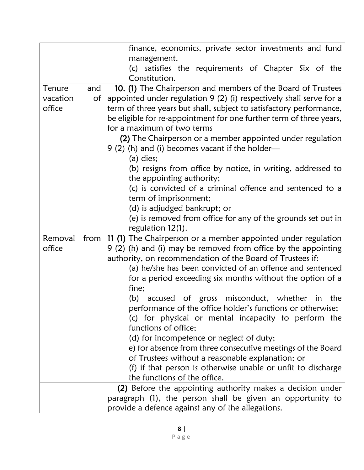|                              |           | finance, economics, private sector investments and fund<br>management.<br>(c) satisfies the requirements of Chapter Six of the<br>Constitution.                                                                                                                                                                                                                                                                                                                                                                                                                                                                                                                                                                                    |
|------------------------------|-----------|------------------------------------------------------------------------------------------------------------------------------------------------------------------------------------------------------------------------------------------------------------------------------------------------------------------------------------------------------------------------------------------------------------------------------------------------------------------------------------------------------------------------------------------------------------------------------------------------------------------------------------------------------------------------------------------------------------------------------------|
| Tenure<br>vacation<br>office | and<br>Οf | 10. (1) The Chairperson and members of the Board of Trustees<br>appointed under regulation 9 (2) (i) respectively shall serve for a<br>term of three years but shall, subject to satisfactory performance,<br>be eligible for re-appointment for one further term of three years,<br>for a maximum of two terms<br>(2) The Chairperson or a member appointed under regulation<br>$9(2)$ (h) and (i) becomes vacant if the holder—<br>$(a)$ dies;<br>(b) resigns from office by notice, in writing, addressed to<br>the appointing authority;<br>(c) is convicted of a criminal offence and sentenced to a<br>term of imprisonment;<br>(d) is adjudged bankrupt; or<br>(e) is removed from office for any of the grounds set out in |
| Removal<br>office            |           | regulation 12(1).<br>from $\vert$ 11 (1) The Chairperson or a member appointed under regulation<br>9 (2) (h) and (i) may be removed from office by the appointing<br>authority, on recommendation of the Board of Trustees if:<br>(a) he/she has been convicted of an offence and sentenced<br>for a period exceeding six months without the option of a<br>fine;<br>(b) accused of gross misconduct, whether in the<br>performance of the office holder's functions or otherwise;<br>(c) for physical or mental incapacity to perform the<br>functions of office;<br>(d) for incompetence or neglect of duty;<br>e) for absence from three consecutive meetings of the Board                                                      |
|                              |           | of Trustees without a reasonable explanation; or<br>(f) if that person is otherwise unable or unfit to discharge<br>the functions of the office.<br>(2) Before the appointing authority makes a decision under<br>paragraph (1), the person shall be given an opportunity to<br>provide a defence against any of the allegations.                                                                                                                                                                                                                                                                                                                                                                                                  |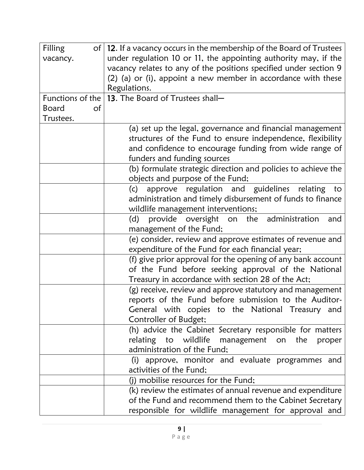| Filling            | of   12. If a vacancy occurs in the membership of the Board of Trustees |
|--------------------|-------------------------------------------------------------------------|
| vacancy.           | under regulation 10 or 11, the appointing authority may, if the         |
|                    | vacancy relates to any of the positions specified under section 9       |
|                    | (2) (a) or (i), appoint a new member in accordance with these           |
|                    | Regulations.                                                            |
|                    | Functions of the $ 13$ . The Board of Trustees shall-                   |
| <b>Board</b><br>of |                                                                         |
| Trustees.          |                                                                         |
|                    | (a) set up the legal, governance and financial management               |
|                    | structures of the Fund to ensure independence, flexibility              |
|                    | and confidence to encourage funding from wide range of                  |
|                    | funders and funding sources                                             |
|                    | (b) formulate strategic direction and policies to achieve the           |
|                    | objects and purpose of the Fund;                                        |
|                    | approve regulation and guidelines relating<br>(c)<br>to                 |
|                    | administration and timely disbursement of funds to finance              |
|                    | wildlife management interventions;                                      |
|                    | provide oversight<br>(d)<br>on the administration<br>and                |
|                    | management of the Fund;                                                 |
|                    | (e) consider, review and approve estimates of revenue and               |
|                    | expenditure of the Fund for each financial year;                        |
|                    | (f) give prior approval for the opening of any bank account             |
|                    | of the Fund before seeking approval of the National                     |
|                    | Treasury in accordance with section 28 of the Act;                      |
|                    | (g) receive, review and approve statutory and management                |
|                    | reports of the Fund before submission to the Auditor-                   |
|                    | General with copies to the National Treasury and                        |
|                    | Controller of Budget;                                                   |
|                    | (h) advice the Cabinet Secretary responsible for matters                |
|                    | relating to wildlife management on the<br>proper                        |
|                    | administration of the Fund;                                             |
|                    | approve, monitor and evaluate programmes and<br>(i)                     |
|                    | activities of the Fund;                                                 |
|                    | (j) mobilise resources for the Fund;                                    |
|                    | (k) review the estimates of annual revenue and expenditure              |
|                    | of the Fund and recommend them to the Cabinet Secretary                 |
|                    | responsible for wildlife management for approval and                    |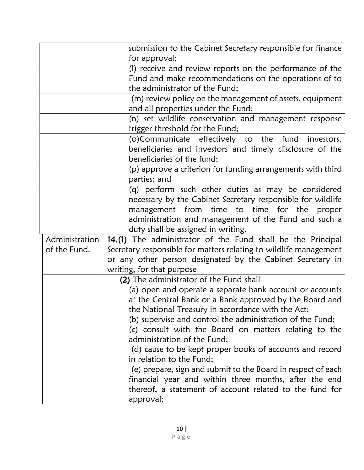|                | submission to the Cabinet Secretary responsible for finance                          |
|----------------|--------------------------------------------------------------------------------------|
|                | for approval;                                                                        |
|                | (I) receive and review reports on the performance of the                             |
|                | Fund and make recommendations on the operations of to                                |
|                | the administrator of the Fund;                                                       |
|                | (m) review policy on the management of assets, equipment                             |
|                | and all properties under the Fund;                                                   |
|                | (n) set wildlife conservation and management response                                |
|                | trigger threshold for the Fund;                                                      |
|                | (o)Communicate effectively to the fund investors,                                    |
|                | beneficiaries and investors and timely disclosure of the                             |
|                | beneficiaries of the fund;                                                           |
|                | (p) approve a criterion for funding arrangements with third                          |
|                | parties; and                                                                         |
|                | (q) perform such other duties as may be considered                                   |
|                | necessary by the Cabinet Secretary responsible for wildlife                          |
|                | management from time to time for the<br>proper                                       |
|                | administration and management of the Fund and such a                                 |
|                | duty shall be assigned in writing.                                                   |
| Administration | 14.(1) The administrator of the Fund shall be the Principal                          |
| of the Fund.   | Secretary responsible for matters relating to wildlife management                    |
|                | or any other person designated by the Cabinet Secretary in                           |
|                | writing, for that purpose                                                            |
|                | (2) The administrator of the Fund shall                                              |
|                | (a) open and operate a separate bank account or accounts                             |
|                | at the Central Bank or a Bank approved by the Board and                              |
|                | the National Treasury in accordance with the Act;                                    |
|                | (b) supervise and control the administration of the Fund;                            |
|                | (c) consult with the Board on matters relating to the<br>administration of the Fund; |
|                | (d) cause to be kept proper books of accounts and record                             |
|                | in relation to the Fund;                                                             |
|                | (e) prepare, sign and submit to the Board in respect of each                         |
|                | financial year and within three months, after the end                                |
|                | thereof, a statement of account related to the fund for                              |
|                | approval;                                                                            |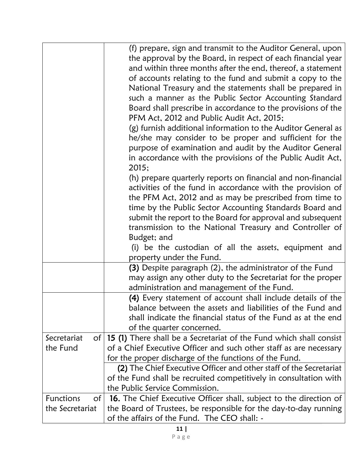|                                    | (f) prepare, sign and transmit to the Auditor General, upon<br>the approval by the Board, in respect of each financial year<br>and within three months after the end, thereof, a statement<br>of accounts relating to the fund and submit a copy to the<br>National Treasury and the statements shall be prepared in<br>such a manner as the Public Sector Accounting Standard<br>Board shall prescribe in accordance to the provisions of the<br>PFM Act, 2012 and Public Audit Act, 2015;<br>(g) furnish additional information to the Auditor General as<br>he/she may consider to be proper and sufficient for the<br>purpose of examination and audit by the Auditor General<br>in accordance with the provisions of the Public Audit Act, |
|------------------------------------|-------------------------------------------------------------------------------------------------------------------------------------------------------------------------------------------------------------------------------------------------------------------------------------------------------------------------------------------------------------------------------------------------------------------------------------------------------------------------------------------------------------------------------------------------------------------------------------------------------------------------------------------------------------------------------------------------------------------------------------------------|
|                                    | 2015;<br>(h) prepare quarterly reports on financial and non-financial<br>activities of the fund in accordance with the provision of<br>the PFM Act, 2012 and as may be prescribed from time to<br>time by the Public Sector Accounting Standards Board and<br>submit the report to the Board for approval and subsequent<br>transmission to the National Treasury and Controller of<br>Budget; and<br>(i) be the custodian of all the assets, equipment and                                                                                                                                                                                                                                                                                     |
|                                    | property under the Fund.<br>(3) Despite paragraph (2), the administrator of the Fund<br>may assign any other duty to the Secretariat for the proper<br>administration and management of the Fund.                                                                                                                                                                                                                                                                                                                                                                                                                                                                                                                                               |
|                                    | (4) Every statement of account shall include details of the<br>balance between the assets and liabilities of the Fund and<br>shall indicate the financial status of the Fund as at the end<br>of the quarter concerned.                                                                                                                                                                                                                                                                                                                                                                                                                                                                                                                         |
| Secretariat<br>of<br>the Fund      | 15 (1) There shall be a Secretariat of the Fund which shall consist<br>of a Chief Executive Officer and such other staff as are necessary<br>for the proper discharge of the functions of the Fund.<br>(2) The Chief Executive Officer and other staff of the Secretariat                                                                                                                                                                                                                                                                                                                                                                                                                                                                       |
|                                    | of the Fund shall be recruited competitively in consultation with<br>the Public Service Commission.                                                                                                                                                                                                                                                                                                                                                                                                                                                                                                                                                                                                                                             |
| Functions<br>Οf<br>the Secretariat | <b>16.</b> The Chief Executive Officer shall, subject to the direction of<br>the Board of Trustees, be responsible for the day-to-day running<br>of the affairs of the Fund. The CEO shall: -                                                                                                                                                                                                                                                                                                                                                                                                                                                                                                                                                   |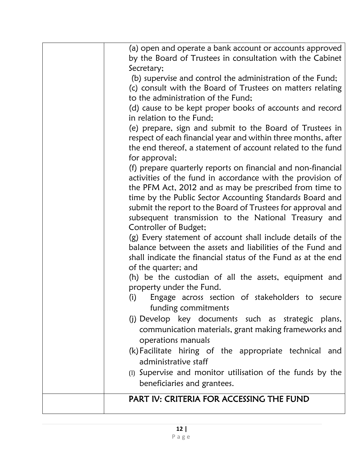| PART IV: CRITERIA FOR ACCESSING THE FUND                                                                                  |
|---------------------------------------------------------------------------------------------------------------------------|
| beneficiaries and grantees.                                                                                               |
| (I) Supervise and monitor utilisation of the funds by the                                                                 |
| administrative staff                                                                                                      |
| (k) Facilitate hiring of the appropriate technical and                                                                    |
| operations manuals                                                                                                        |
| communication materials, grant making frameworks and                                                                      |
| funding commitments<br>(j) Develop key documents such as strategic plans,                                                 |
| Engage across section of stakeholders to secure<br>(i)                                                                    |
| property under the Fund.                                                                                                  |
| (h) be the custodian of all the assets, equipment and                                                                     |
| of the quarter; and                                                                                                       |
| shall indicate the financial status of the Fund as at the end                                                             |
| balance between the assets and liabilities of the Fund and                                                                |
| Controller of Budget;<br>(g) Every statement of account shall include details of the                                      |
| subsequent transmission to the National Treasury and                                                                      |
| submit the report to the Board of Trustees for approval and                                                               |
| time by the Public Sector Accounting Standards Board and                                                                  |
| the PFM Act, 2012 and as may be prescribed from time to                                                                   |
| activities of the fund in accordance with the provision of                                                                |
| (f) prepare quarterly reports on financial and non-financial                                                              |
| for approval;                                                                                                             |
| the end thereof, a statement of account related to the fund                                                               |
| (e) prepare, sign and submit to the Board of Trustees in<br>respect of each financial year and within three months, after |
| in relation to the Fund;                                                                                                  |
| (d) cause to be kept proper books of accounts and record                                                                  |
| to the administration of the Fund;                                                                                        |
| (c) consult with the Board of Trustees on matters relating                                                                |
| (b) supervise and control the administration of the Fund;                                                                 |
| Secretary;                                                                                                                |
| (a) open and operate a bank account or accounts approved<br>by the Board of Trustees in consultation with the Cabinet     |
|                                                                                                                           |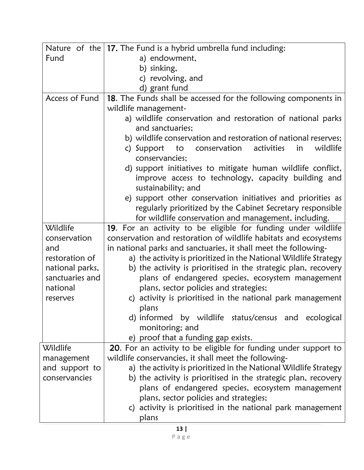|                 | Nature of the $ 17$ . The Fund is a hybrid umbrella fund including: |
|-----------------|---------------------------------------------------------------------|
| Fund            | a) endowment,                                                       |
|                 | b) sinking,                                                         |
|                 | c) revolving, and                                                   |
|                 | d) grant fund                                                       |
| Access of Fund  | 18. The Funds shall be accessed for the following components in     |
|                 | wildlife management-                                                |
|                 | a) wildlife conservation and restoration of national parks          |
|                 | and sanctuaries:                                                    |
|                 | b) wildlife conservation and restoration of national reserves;      |
|                 | conservation<br>activities<br>wildlife<br>c) Support to<br>in       |
|                 | conservancies;                                                      |
|                 | d) support initiatives to mitigate human wildlife conflict,         |
|                 | improve access to technology, capacity building and                 |
|                 | sustainability; and                                                 |
|                 | e) support other conservation initiatives and priorities as         |
|                 | regularly prioritized by the Cabinet Secretary responsible          |
|                 | for wildlife conservation and management, including.                |
| Wildlife        | 19. For an activity to be eligible for funding under wildlife       |
| conservation    | conservation and restoration of wildlife habitats and ecosystems    |
| and             | in national parks and sanctuaries, it shall meet the following-     |
| restoration of  | a) the activity is prioritized in the National Wildlife Strategy    |
| national parks, | b) the activity is prioritised in the strategic plan, recovery      |
| sanctuaries and | plans of endangered species, ecosystem management                   |
| national        | plans, sector policies and strategies;                              |
| reserves        | c) activity is prioritised in the national park management          |
|                 | plans                                                               |
|                 | d) informed by wildlife status/census and ecological                |
|                 | monitoring; and                                                     |
|                 | e) proof that a funding gap exists.                                 |
| Wildlife        | 20. For an activity to be eligible for funding under support to     |
| management      | wildlife conservancies, it shall meet the following-                |
| and support to  | a) the activity is prioritized in the National Wildlife Strategy    |
| conservancies   | b) the activity is prioritised in the strategic plan, recovery      |
|                 | plans of endangered species, ecosystem management                   |
|                 | plans, sector policies and strategies;                              |
|                 | c) activity is prioritised in the national park management          |
|                 | plans                                                               |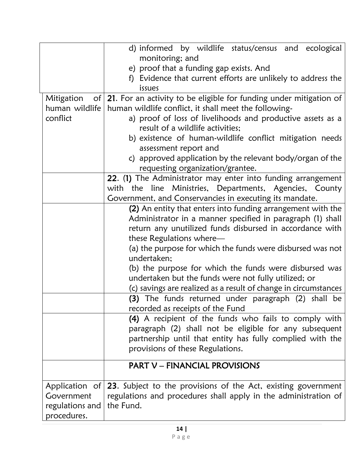|                  | d) informed by wildlife status/census and ecological<br>monitoring; and<br>e) proof that a funding gap exists. And<br>Evidence that current efforts are unlikely to address the<br>f) |
|------------------|---------------------------------------------------------------------------------------------------------------------------------------------------------------------------------------|
|                  | issues                                                                                                                                                                                |
| of<br>Mitigation | 21. For an activity to be eligible for funding under mitigation of                                                                                                                    |
| human wildlife   | human wildlife conflict, it shall meet the following-                                                                                                                                 |
| conflict         | a) proof of loss of livelihoods and productive assets as a                                                                                                                            |
|                  | result of a wildlife activities;                                                                                                                                                      |
|                  | b) existence of human-wildlife conflict mitigation needs                                                                                                                              |
|                  | assessment report and                                                                                                                                                                 |
|                  | c) approved application by the relevant body/organ of the                                                                                                                             |
|                  | requesting organization/grantee.<br>22. (1) The Administrator may enter into funding arrangement                                                                                      |
|                  | with the line Ministries, Departments, Agencies, County                                                                                                                               |
|                  | Government, and Conservancies in executing its mandate.                                                                                                                               |
|                  | (2) An entity that enters into funding arrangement with the                                                                                                                           |
|                  | Administrator in a manner specified in paragraph (1) shall                                                                                                                            |
|                  | return any unutilized funds disbursed in accordance with                                                                                                                              |
|                  | these Regulations where-                                                                                                                                                              |
|                  | (a) the purpose for which the funds were disbursed was not<br>undertaken;                                                                                                             |
|                  | (b) the purpose for which the funds were disbursed was                                                                                                                                |
|                  | undertaken but the funds were not fully utilized; or                                                                                                                                  |
|                  | (c) savings are realized as a result of change in circumstances                                                                                                                       |
|                  | (3) The funds returned under paragraph (2) shall be                                                                                                                                   |
|                  | recorded as receipts of the Fund                                                                                                                                                      |
|                  | (4) A recipient of the funds who fails to comply with                                                                                                                                 |
|                  | paragraph (2) shall not be eligible for any subsequent                                                                                                                                |
|                  | partnership until that entity has fully complied with the                                                                                                                             |
|                  | provisions of these Regulations.                                                                                                                                                      |
|                  | <b>PART V - FINANCIAL PROVISIONS</b>                                                                                                                                                  |
| Application of   | 23. Subject to the provisions of the Act, existing government                                                                                                                         |
| Government       | regulations and procedures shall apply in the administration of                                                                                                                       |
| regulations and  | the Fund.                                                                                                                                                                             |
| procedures.      |                                                                                                                                                                                       |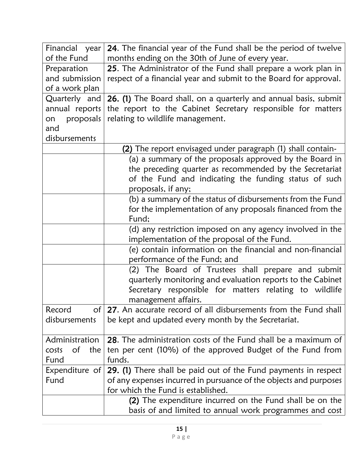| Financial year                | 24. The financial year of the Fund shall be the period of twelve   |
|-------------------------------|--------------------------------------------------------------------|
| of the Fund                   | months ending on the 30th of June of every year.                   |
| Preparation                   | 25. The Administrator of the Fund shall prepare a work plan in     |
| and submission                | respect of a financial year and submit to the Board for approval.  |
| of a work plan                |                                                                    |
| Quarterly and                 | 26. (1) The Board shall, on a quarterly and annual basis, submit   |
| annual reports                | the report to the Cabinet Secretary responsible for matters        |
| proposals<br>on               | relating to wildlife management.                                   |
| and                           |                                                                    |
| disbursements                 |                                                                    |
|                               | <b>(2)</b> The report envisaged under paragraph (1) shall contain- |
|                               | (a) a summary of the proposals approved by the Board in            |
|                               | the preceding quarter as recommended by the Secretariat            |
|                               | of the Fund and indicating the funding status of such              |
|                               | proposals, if any;                                                 |
|                               | (b) a summary of the status of disbursements from the Fund         |
|                               | for the implementation of any proposals financed from the          |
|                               | Fund;                                                              |
|                               | (d) any restriction imposed on any agency involved in the          |
|                               | implementation of the proposal of the Fund.                        |
|                               | (e) contain information on the financial and non-financial         |
|                               | performance of the Fund; and                                       |
|                               | (2) The Board of Trustees shall prepare and submit                 |
|                               | quarterly monitoring and evaluation reports to the Cabinet         |
|                               | Secretary responsible for matters relating to wildlife             |
|                               | management affairs.                                                |
| Record                        | of 27. An accurate record of all disbursements from the Fund shall |
| disbursements                 | be kept and updated every month by the Secretariat.                |
|                               |                                                                    |
| Administration                | 28. The administration costs of the Fund shall be a maximum of     |
| <sub>of</sub><br>the<br>costs | ten per cent (10%) of the approved Budget of the Fund from         |
| Fund                          | funds.                                                             |
| Expenditure of                | 29. (1) There shall be paid out of the Fund payments in respect    |
| Fund                          | of any expenses incurred in pursuance of the objects and purposes  |
|                               | for which the Fund is established.                                 |
|                               | (2) The expenditure incurred on the Fund shall be on the           |
|                               | basis of and limited to annual work programmes and cost            |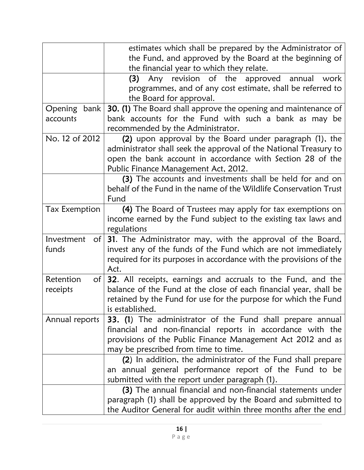|                                        | estimates which shall be prepared by the Administrator of<br>the Fund, and approved by the Board at the beginning of<br>the financial year to which they relate.                                                                       |
|----------------------------------------|----------------------------------------------------------------------------------------------------------------------------------------------------------------------------------------------------------------------------------------|
|                                        | Any revision of the approved annual<br>(3)<br>work<br>programmes, and of any cost estimate, shall be referred to<br>the Board for approval.                                                                                            |
| Opening bank<br>accounts               | <b>30. (1)</b> The Board shall approve the opening and maintenance of<br>bank accounts for the Fund with such a bank as may be<br>recommended by the Administrator.                                                                    |
| No. 12 of 2012                         | (2) upon approval by the Board under paragraph (1), the<br>administrator shall seek the approval of the National Treasury to<br>open the bank account in accordance with Section 28 of the<br>Public Finance Management Act, 2012.     |
|                                        | (3) The accounts and investments shall be held for and on<br>behalf of the Fund in the name of the Wildlife Conservation Trust<br>Fund                                                                                                 |
| <b>Tax Exemption</b>                   | (4) The Board of Trustees may apply for tax exemptions on<br>income earned by the Fund subject to the existing tax laws and<br>regulations                                                                                             |
| Investment<br>of <sub>l</sub><br>funds | 31. The Administrator may, with the approval of the Board,<br>invest any of the funds of the Fund which are not immediately<br>required for its purposes in accordance with the provisions of the<br>Act.                              |
| Retention<br>$\circ$ f<br>receipts     | 32. All receipts, earnings and accruals to the Fund, and the<br>balance of the Fund at the close of each financial year, shall be<br>retained by the Fund for use for the purpose for which the Fund<br>is established.                |
| Annual reports                         | <b>33. (1)</b> The administrator of the Fund shall prepare annual<br>financial and non-financial reports in accordance with the<br>provisions of the Public Finance Management Act 2012 and as<br>may be prescribed from time to time. |
|                                        | (2) In addition, the administrator of the Fund shall prepare<br>an annual general performance report of the Fund to be<br>submitted with the report under paragraph (1).                                                               |
|                                        | (3) The annual financial and non-financial statements under<br>paragraph (1) shall be approved by the Board and submitted to<br>the Auditor General for audit within three months after the end                                        |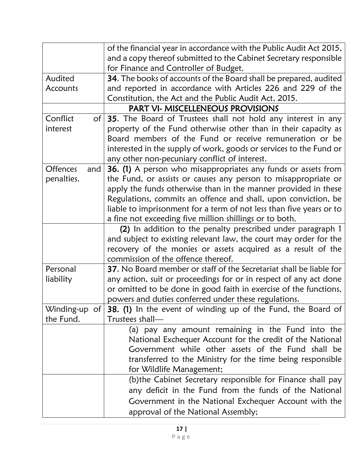|                        | of the financial year in accordance with the Public Audit Act 2015, |
|------------------------|---------------------------------------------------------------------|
|                        | and a copy thereof submitted to the Cabinet Secretary responsible   |
|                        | for Finance and Controller of Budget.                               |
| Audited                | 34. The books of accounts of the Board shall be prepared, audited   |
| Accounts               | and reported in accordance with Articles 226 and 229 of the         |
|                        | Constitution, the Act and the Public Audit Act, 2015.               |
|                        | PART VI- MISCELLENEOUS PROVISIONS                                   |
| Conflict<br>$\circ$ f  | 35. The Board of Trustees shall not hold any interest in any        |
| interest               | property of the Fund otherwise other than in their capacity as      |
|                        | Board members of the Fund or receive remuneration or be             |
|                        | interested in the supply of work, goods or services to the Fund or  |
|                        | any other non-pecuniary conflict of interest.                       |
| <b>Offences</b><br>and | 36. (1) A person who misappropriates any funds or assets from       |
| penalties.             | the Fund, or assists or causes any person to misappropriate or      |
|                        | apply the funds otherwise than in the manner provided in these      |
|                        | Regulations, commits an offence and shall, upon conviction, be      |
|                        | liable to imprisonment for a term of not less than five years or to |
|                        | a fine not exceeding five million shillings or to both.             |
|                        | (2) In addition to the penalty prescribed under paragraph 1         |
|                        | and subject to existing relevant law, the court may order for the   |
|                        | recovery of the monies or assets acquired as a result of the        |
|                        | commission of the offence thereof.                                  |
| Personal               | 37. No Board member or staff of the Secretariat shall be liable for |
| liability              | any action, suit or proceedings for or in respect of any act done   |
|                        | or omitted to be done in good faith in exercise of the functions,   |
|                        | powers and duties conferred under these regulations.                |
| Winding-up of          | 38. (1) In the event of winding up of the Fund, the Board of        |
| the Fund.              | Trustees shall-                                                     |
|                        | (a) pay any amount remaining in the Fund into the                   |
|                        | National Exchequer Account for the credit of the National           |
|                        | Government while other assets of the Fund shall be                  |
|                        | transferred to the Ministry for the time being responsible          |
|                        | for Wildlife Management;                                            |
|                        | (b) the Cabinet Secretary responsible for Finance shall pay         |
|                        | any deficit in the Fund from the funds of the National              |
|                        | Government in the National Exchequer Account with the               |
|                        | approval of the National Assembly;                                  |
|                        |                                                                     |